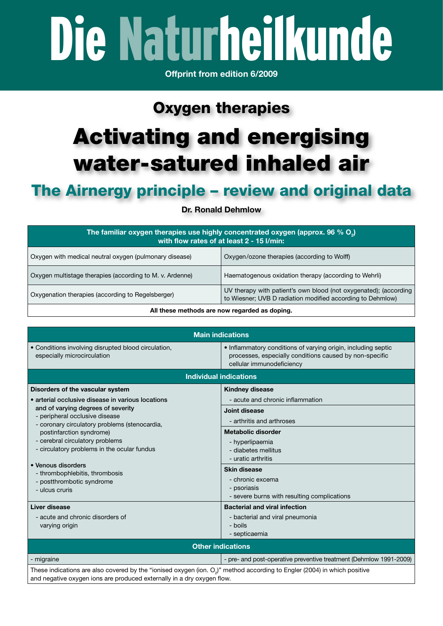# Die Naturheilkunde

**Offprint from edition 6/2009**

## Oxygen therapies

# Activating and energising water-satured inhaled air

### The Airnergy principle – review and original data

**Dr. Ronald Dehmlow**

| The familiar oxygen therapies use highly concentrated oxygen (approx. 96 $%$ O <sub>o</sub> )<br>with flow rates of at least 2 - 15 l/min: |                                                                                                                                |
|--------------------------------------------------------------------------------------------------------------------------------------------|--------------------------------------------------------------------------------------------------------------------------------|
| Oxygen with medical neutral oxygen (pulmonary disease)                                                                                     | Oxygen/ozone therapies (according to Wolff)                                                                                    |
| Oxygen multistage therapies (according to M. v. Ardenne)                                                                                   | Haematogenous oxidation therapy (according to Wehrli)                                                                          |
| Oxygenation therapies (according to Regelsberger)                                                                                          | UV therapy with patient's own blood (not oxygenated); (according<br>to Wiesner; UVB D radiation modified according to Dehmlow) |
|                                                                                                                                            |                                                                                                                                |

**All these methods are now regarded as doping.**

| <b>Main indications</b>                                                                                                                                                                                                                                                                                                                          |                                                                                                                                                       |
|--------------------------------------------------------------------------------------------------------------------------------------------------------------------------------------------------------------------------------------------------------------------------------------------------------------------------------------------------|-------------------------------------------------------------------------------------------------------------------------------------------------------|
| • Conditions involving disrupted blood circulation,<br>especially microcirculation                                                                                                                                                                                                                                                               | • Inflammatory conditions of varying origin, including septic<br>processes, especially conditions caused by non-specific<br>cellular immunodeficiency |
| <b>Individual indications</b>                                                                                                                                                                                                                                                                                                                    |                                                                                                                                                       |
| Disorders of the vascular system                                                                                                                                                                                                                                                                                                                 | <b>Kindney disease</b>                                                                                                                                |
| • arterial occlusive disease in various locations<br>and of varying degrees of severity<br>- peripheral occlusive disease<br>- coronary circulatory problems (stenocardia,<br>postinfarction syndrome)<br>- cerebral circulatory problems<br>- circulatory problems in the ocular fundus<br>• Venous disorders<br>- thrombophlebitis, thrombosis | - acute and chronic inflammation                                                                                                                      |
|                                                                                                                                                                                                                                                                                                                                                  | Joint disease                                                                                                                                         |
|                                                                                                                                                                                                                                                                                                                                                  | - arthritis and arthroses                                                                                                                             |
|                                                                                                                                                                                                                                                                                                                                                  | Metabolic disorder                                                                                                                                    |
|                                                                                                                                                                                                                                                                                                                                                  | - hyperlipaemia                                                                                                                                       |
|                                                                                                                                                                                                                                                                                                                                                  | - diabetes mellitus                                                                                                                                   |
|                                                                                                                                                                                                                                                                                                                                                  | - uratic arthritis                                                                                                                                    |
|                                                                                                                                                                                                                                                                                                                                                  | <b>Skin disease</b>                                                                                                                                   |
| - postthrombotic syndrome                                                                                                                                                                                                                                                                                                                        | - chronic excema                                                                                                                                      |
| - ulcus cruris                                                                                                                                                                                                                                                                                                                                   | - psoriasis<br>- severe burns with resulting complications                                                                                            |
| Liver disease                                                                                                                                                                                                                                                                                                                                    | <b>Bacterial and viral infection</b>                                                                                                                  |
| - acute and chronic disorders of                                                                                                                                                                                                                                                                                                                 | - bacterial and viral pneumonia                                                                                                                       |
| varying origin                                                                                                                                                                                                                                                                                                                                   | - boils                                                                                                                                               |
|                                                                                                                                                                                                                                                                                                                                                  | - septicaemia                                                                                                                                         |
| <b>Other indications</b>                                                                                                                                                                                                                                                                                                                         |                                                                                                                                                       |
| - migraine                                                                                                                                                                                                                                                                                                                                       | - pre- and post-operative preventive treatment (Dehmlow 1991-2009)                                                                                    |
| These indications are also covered by the "ionised oxygen (ion. O <sub>2</sub> )" method according to Engler (2004) in which positive                                                                                                                                                                                                            |                                                                                                                                                       |
| and negative oxygen ions are produced externally in a dry oxygen flow.                                                                                                                                                                                                                                                                           |                                                                                                                                                       |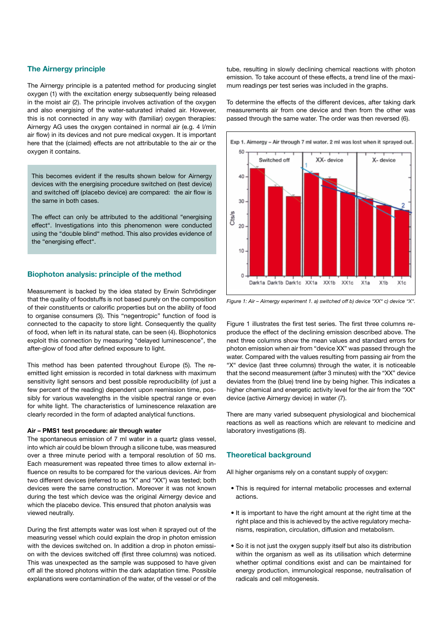#### **The Airnergy principle**

The Airnergy principle is a patented method for producing singlet oxygen (1) with the excitation energy subsequently being released in the moist air (2). The principle involves activation of the oxygen and also energising of the water-saturated inhaled air. However, this is not connected in any way with (familiar) oxygen therapies: Airnergy AG uses the oxygen contained in normal air (e.g. 4 l/min air flow) in its devices and not pure medical oxygen. It is important here that the (claimed) effects are not attributable to the air or the oxygen it contains.

This becomes evident if the results shown below for Airnergy devices with the energising procedure switched on (test device) and switched off (placebo device) are compared: the air flow is the same in both cases.

The effect can only be attributed to the additional "energising effect". Investigations into this phenomenon were conducted using the "double blind" method. This also provides evidence of the "energising effect".

#### **Biophoton analysis: principle of the method**

Measurement is backed by the idea stated by Erwin Schrödinger that the quality of foodstuffs is not based purely on the composition of their constituents or calorific properties but on the ability of food to organise consumers (3). This "negentropic" function of food is connected to the capacity to store light. Consequently the quality of food, when left in its natural state, can be seen (4). Biophotonics exploit this connection by measuring "delayed luminescence", the after-glow of food after defined exposure to light.

This method has been patented throughout Europe (5). The reemitted light emission is recorded in total darkness with maximum sensitivity light sensors and best possible reproducibility (of just a few percent of the reading) dependent upon reemission time, possibly for various wavelengths in the visible spectral range or even for white light. The characteristics of luminescence relaxation are clearly recorded in the form of adapted analytical functions.

#### **Air – PMS1 test procedure: air through water**

The spontaneous emission of 7 ml water in a quartz glass vessel, into which air could be blown through a silicone tube, was measured over a three minute period with a temporal resolution of 50 ms. Each measurement was repeated three times to allow external influence on results to be compared for the various devices. Air from two different devices (referred to as "X" and "XX") was tested; both devices were the same construction. Moreover it was not known during the test which device was the original Airnergy device and which the placebo device. This ensured that photon analysis was viewed neutrally.

During the first attempts water was lost when it sprayed out of the measuring vessel which could explain the drop in photon emission with the devices switched on. In addition a drop in photon emission with the devices switched off (first three columns) was noticed. This was unexpected as the sample was supposed to have given off all the stored photons within the dark adaptation time. Possible explanations were contamination of the water, of the vessel or of the

tube, resulting in slowly declining chemical reactions with photon emission. To take account of these effects, a trend line of the maximum readings per test series was included in the graphs.

To determine the effects of the different devices, after taking dark measurements air from one device and then from the other was passed through the same water. The order was then reversed (6).



*Figure 1: Air – Airnergy experiment 1. a) switched off b) device "XX" c) device "X".*

Figure 1 illustrates the first test series. The first three columns reproduce the effect of the declining emission described above. The next three columns show the mean values and standard errors for photon emission when air from "device XX" was passed through the water. Compared with the values resulting from passing air from the "X" device (last three columns) through the water, it is noticeable that the second measurement (after 3 minutes) with the "XX" device deviates from the (blue) trend line by being higher. This indicates a higher chemical and energetic activity level for the air from the "XX" device (active Airnergy device) in water (7).

There are many varied subsequent physiological and biochemical reactions as well as reactions which are relevant to medicine and laboratory investigations (8).

#### **Theoretical background**

All higher organisms rely on a constant supply of oxygen:

- This is required for internal metabolic processes and external actions.
- It is important to have the right amount at the right time at the right place and this is achieved by the active regulatory mechanisms, respiration, circulation, diffusion and metabolism.
- So it is not just the oxygen supply itself but also its distribution within the organism as well as its utilisation which determine whether optimal conditions exist and can be maintained for energy production, immunological response, neutralisation of radicals and cell mitogenesis.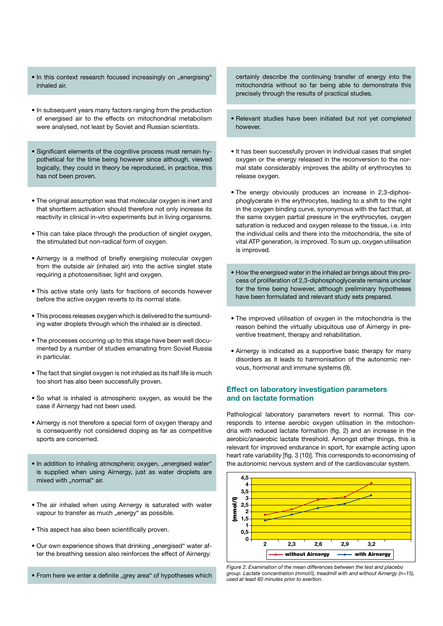- In this context research focused increasingly on "energising" inhaled air.
- In subsequent years many factors ranging from the production of energised air to the effects on mitochondrial metabolism were analysed, not least by Soviet and Russian scientists.
- Significant elements of the cognitive process must remain hypothetical for the time being however since although, viewed logically, they could in theory be reproduced, in practice, this has not been proven.
- The original assumption was that molecular oxygen is inert and that shortterm activation should therefore not only increase its reactivity in clinical in-vitro experiments but in living organisms.
- This can take place through the production of singlet oxygen, the stimulated but non-radical form of oxygen.
- Airnergy is a method of briefly energising molecular oxygen from the outside air (inhaled air) into the active singlet state requiring a photosensitiser, light and oxygen.
- This active state only lasts for fractions of seconds however before the active oxygen reverts to its normal state.
- This process releases oxygen which is delivered to the surrounding water droplets through which the inhaled air is directed.
- The processes occurring up to this stage have been well documented by a number of studies emanating from Soviet Russia in particular.
- The fact that singlet oxygen is not inhaled as its half life is much too short has also been successfully proven.
- So what is inhaled is atmospheric oxygen, as would be the case if Airnergy had not been used.
- Airnergy is not therefore a special form of oxygen therapy and is consequently not considered doping as far as competitive sports are concerned.
- In addition to inhaling atmospheric oxygen, "energised water" is supplied when using Airnergy, just as water droplets are mixed with "normal" air.
- The air inhaled when using Airnergy is saturated with water vapour to transfer as much "energy" as possible.
- This aspect has also been scientifically proven.
- Our own experience shows that drinking "energised" water after the breathing session also reinforces the effect of Airnergy.
- From here we enter a definite "grey area" of hypotheses which

certainly describe the continuing transfer of energy into the mitochondria without so far being able to demonstrate this precisely through the results of practical studies.

- Relevant studies have been initiated but not yet completed however.
- It has been successfully proven in individual cases that singlet oxygen or the energy released in the reconversion to the normal state considerably improves the ability of erythrocytes to release oxygen.
- The energy obviously produces an increase in 2,3-diphosphoglycerate in the erythrocytes, leading to a shift to the right in the oxygen binding curve, synonymous with the fact that, at the same oxygen partial pressure in the erythrocytes, oxygen saturation is reduced and oxygen release to the tissue, i.e. into the individual cells and there into the mitochondria, the site of vital ATP generation, is improved. To sum up, oxygen utilisation is improved.
- How the energised water in the inhaled air brings about this process of proliferation of 2,3-diphosphoglycerate remains unclear for the time being however, although preliminary hypotheses have been formulated and relevant study sets prepared.
- The improved utilisation of oxygen in the mitochondria is the reason behind the virtually ubiquitous use of Airnergy in preventive treatment, therapy and rehabilitation.
- Airnergy is indicated as a supportive basic therapy for many disorders as it leads to harmonisation of the autonomic nervous, hormonal and immune systems (9).

#### **Effect on laboratory investigation parameters and on lactate formation**

Pathological laboratory parameters revert to normal. This corresponds to intense aerobic oxygen utilisation in the mitochondria with reduced lactate formation (fig. 2) and an increase in the aerobic/anaerobic lactate threshold. Amongst other things, this is relevant for improved endurance in sport, for example acting upon heart rate variability [fig. 3 (10)]. This corresponds to economising of the autonomic nervous system and of the cardiovascular system.



*Figure 2: Examination of the mean differences between the test and placebo group. Lactate concentration (mmol/l), treadmill with and without Airnergy (n=15), used at least 60 minutes prior to exertion.*